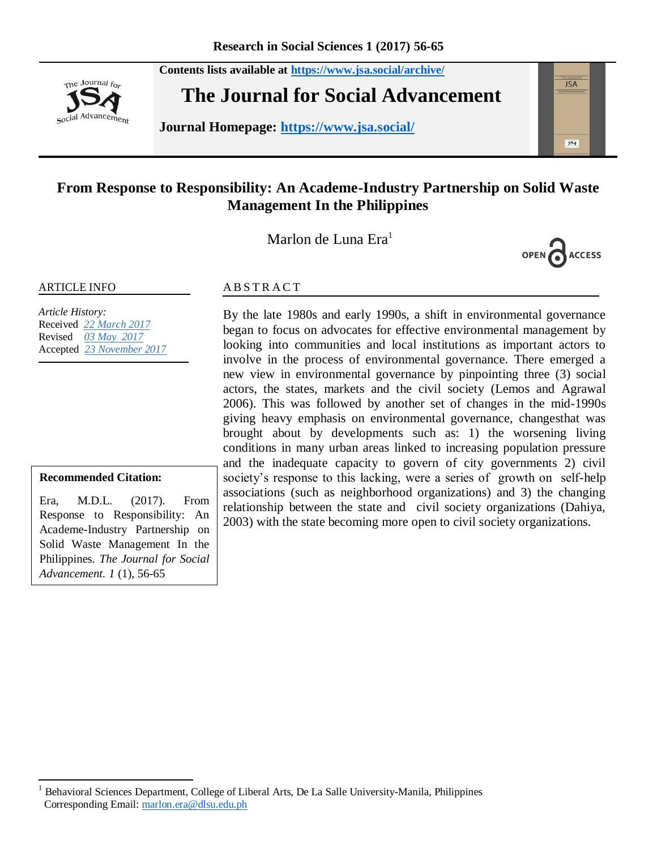**Contents lists available at <https://www.jsa.social/archive/>**



**The Journal for Social Advancement** 

**Journal Homepage: <https://www.jsa.social/>**



# **From Response to Responsibility: An Academe-Industry Partnership on Solid Waste Management In the Philippines**

Marlon de Luna Era $<sup>1</sup>$ </sup>



#### ARTICLE INFO

*Article History:*  Received *22 March 2017* Revised *03 May 2017* Accepted *23 November 2017*

#### **Recommended Citation:**

 $\overline{a}$ 

Era, M.D.L. (2017). From Response to Responsibility: An Academe-Industry Partnership on Solid Waste Management In the Philippines. *The Journal for Social Advancement. 1* (1), 56-65

#### **ABSTRACT**

By the late 1980s and early 1990s, a shift in environmental governance began to focus on advocates for effective environmental management by looking into communities and local institutions as important actors to involve in the process of environmental governance. There emerged a new view in environmental governance by pinpointing three (3) social actors, the states, markets and the civil society (Lemos and Agrawal 2006). This was followed by another set of changes in the mid-1990s giving heavy emphasis on environmental governance, changesthat was brought about by developments such as: 1) the worsening living conditions in many urban areas linked to increasing population pressure and the inadequate capacity to govern of city governments 2) civil society's response to this lacking, were a series of growth on self-help associations (such as neighborhood organizations) and 3) the changing relationship between the state and civil society organizations (Dahiya, 2003) with the state becoming more open to civil society organizations.

<sup>1</sup> Behavioral Sciences Department, College of Liberal Arts, De La Salle University-Manila, Philippines Corresponding Email: [marlon.era@dlsu.edu.ph](mailto:marlon.era@dlsu.edu.ph)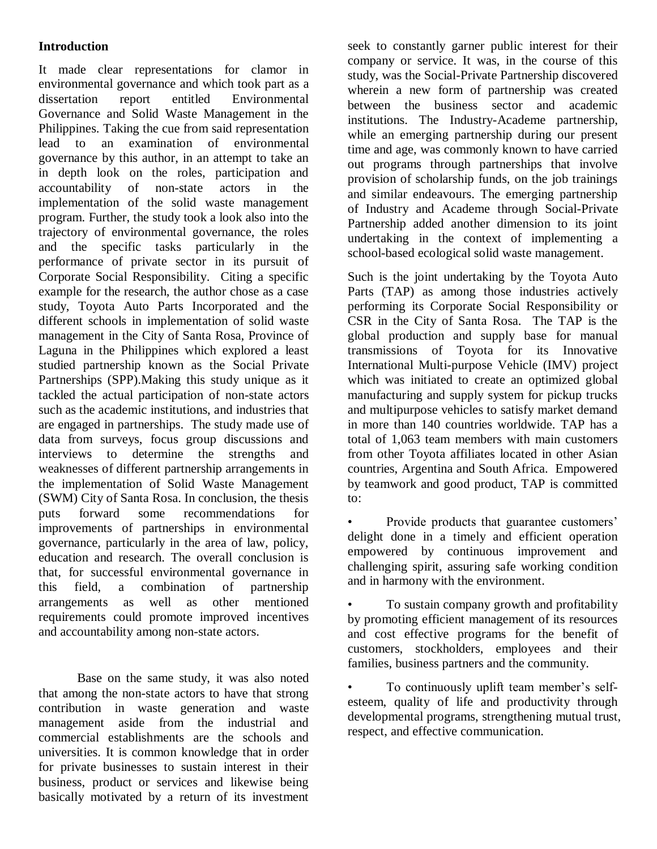### **Introduction**

It made clear representations for clamor in environmental governance and which took part as a dissertation report entitled Environmental Governance and Solid Waste Management in the Philippines. Taking the cue from said representation lead to an examination of environmental governance by this author, in an attempt to take an in depth look on the roles, participation and accountability of non-state actors in the implementation of the solid waste management program. Further, the study took a look also into the trajectory of environmental governance, the roles and the specific tasks particularly in the performance of private sector in its pursuit of Corporate Social Responsibility. Citing a specific example for the research, the author chose as a case study, Toyota Auto Parts Incorporated and the different schools in implementation of solid waste management in the City of Santa Rosa, Province of Laguna in the Philippines which explored a least studied partnership known as the Social Private Partnerships (SPP).Making this study unique as it tackled the actual participation of non-state actors such as the academic institutions, and industries that are engaged in partnerships. The study made use of data from surveys, focus group discussions and interviews to determine the strengths and weaknesses of different partnership arrangements in the implementation of Solid Waste Management (SWM) City of Santa Rosa. In conclusion, the thesis puts forward some recommendations for improvements of partnerships in environmental governance, particularly in the area of law, policy, education and research. The overall conclusion is that, for successful environmental governance in this field, a combination of partnership arrangements as well as other mentioned requirements could promote improved incentives and accountability among non-state actors.

Base on the same study, it was also noted that among the non-state actors to have that strong contribution in waste generation and waste management aside from the industrial and commercial establishments are the schools and universities. It is common knowledge that in order for private businesses to sustain interest in their business, product or services and likewise being basically motivated by a return of its investment

seek to constantly garner public interest for their company or service. It was, in the course of this study, was the Social-Private Partnership discovered wherein a new form of partnership was created between the business sector and academic institutions. The Industry-Academe partnership, while an emerging partnership during our present time and age, was commonly known to have carried out programs through partnerships that involve provision of scholarship funds, on the job trainings and similar endeavours. The emerging partnership of Industry and Academe through Social-Private Partnership added another dimension to its joint undertaking in the context of implementing a school-based ecological solid waste management.

Such is the joint undertaking by the Toyota Auto Parts (TAP) as among those industries actively performing its Corporate Social Responsibility or CSR in the City of Santa Rosa. The TAP is the global production and supply base for manual transmissions of Toyota for its Innovative International Multi-purpose Vehicle (IMV) project which was initiated to create an optimized global manufacturing and supply system for pickup trucks and multipurpose vehicles to satisfy market demand in more than 140 countries worldwide. TAP has a total of 1,063 team members with main customers from other Toyota affiliates located in other Asian countries, Argentina and South Africa. Empowered by teamwork and good product, TAP is committed to:

Provide products that guarantee customers' delight done in a timely and efficient operation empowered by continuous improvement and challenging spirit, assuring safe working condition and in harmony with the environment.

• To sustain company growth and profitability by promoting efficient management of its resources and cost effective programs for the benefit of customers, stockholders, employees and their families, business partners and the community.

• To continuously uplift team member's selfesteem, quality of life and productivity through developmental programs, strengthening mutual trust, respect, and effective communication.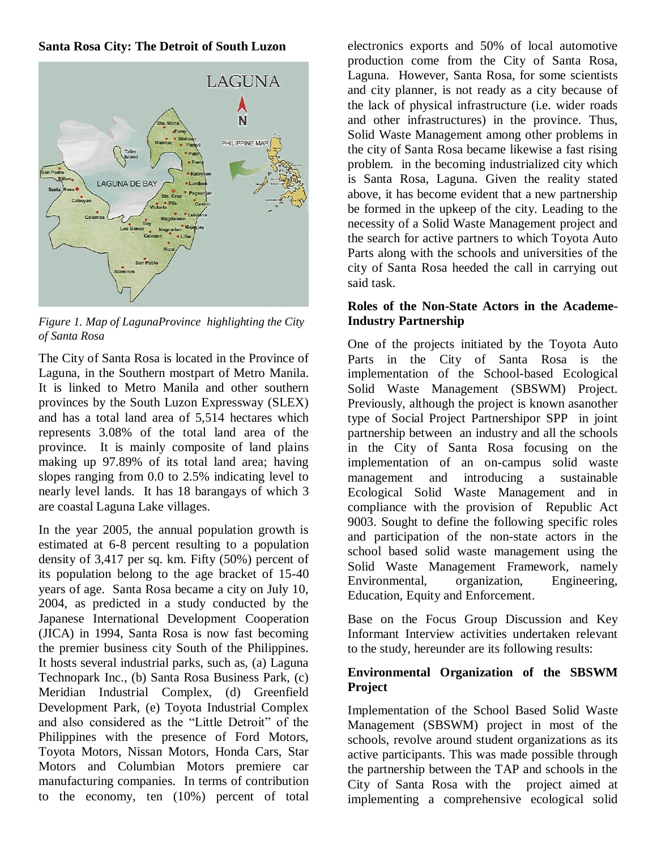#### **Santa Rosa City: The Detroit of South Luzon**



*Figure 1. Map of LagunaProvince highlighting the City of Santa Rosa*

The City of Santa Rosa is located in the Province of Laguna, in the Southern mostpart of Metro Manila. It is linked to Metro Manila and other southern provinces by the South Luzon Expressway (SLEX) and has a total land area of 5,514 hectares which represents 3.08% of the total land area of the province. It is mainly composite of land plains making up 97.89% of its total land area; having slopes ranging from 0.0 to 2.5% indicating level to nearly level lands. It has 18 barangays of which 3 are coastal Laguna Lake villages.

In the year 2005, the annual population growth is estimated at 6-8 percent resulting to a population density of 3,417 per sq. km. Fifty (50%) percent of its population belong to the age bracket of 15-40 years of age. Santa Rosa became a city on July 10, 2004, as predicted in a study conducted by the Japanese International Development Cooperation (JICA) in 1994, Santa Rosa is now fast becoming the premier business city South of the Philippines. It hosts several industrial parks, such as, (a) Laguna Technopark Inc., (b) Santa Rosa Business Park, (c) Meridian Industrial Complex, (d) Greenfield Development Park, (e) Toyota Industrial Complex and also considered as the "Little Detroit" of the Philippines with the presence of Ford Motors, Toyota Motors, Nissan Motors, Honda Cars, Star Motors and Columbian Motors premiere car manufacturing companies. In terms of contribution to the economy, ten (10%) percent of total

electronics exports and 50% of local automotive production come from the City of Santa Rosa, Laguna. However, Santa Rosa, for some scientists and city planner, is not ready as a city because of the lack of physical infrastructure (i.e. wider roads and other infrastructures) in the province. Thus, Solid Waste Management among other problems in the city of Santa Rosa became likewise a fast rising problem. in the becoming industrialized city which is Santa Rosa, Laguna. Given the reality stated above, it has become evident that a new partnership be formed in the upkeep of the city. Leading to the necessity of a Solid Waste Management project and the search for active partners to which Toyota Auto Parts along with the schools and universities of the city of Santa Rosa heeded the call in carrying out said task.

#### **Roles of the Non-State Actors in the Academe-Industry Partnership**

One of the projects initiated by the Toyota Auto Parts in the City of Santa Rosa is the implementation of the School-based Ecological Solid Waste Management (SBSWM) Project. Previously, although the project is known asanother type of Social Project Partnershipor SPP in joint partnership between an industry and all the schools in the City of Santa Rosa focusing on the implementation of an on-campus solid waste management and introducing a sustainable Ecological Solid Waste Management and in compliance with the provision of Republic Act 9003. Sought to define the following specific roles and participation of the non-state actors in the school based solid waste management using the Solid Waste Management Framework, namely Environmental, organization, Engineering, Education, Equity and Enforcement.

Base on the Focus Group Discussion and Key Informant Interview activities undertaken relevant to the study, hereunder are its following results:

### **Environmental Organization of the SBSWM Project**

Implementation of the School Based Solid Waste Management (SBSWM) project in most of the schools, revolve around student organizations as its active participants. This was made possible through the partnership between the TAP and schools in the City of Santa Rosa with the project aimed at implementing a comprehensive ecological solid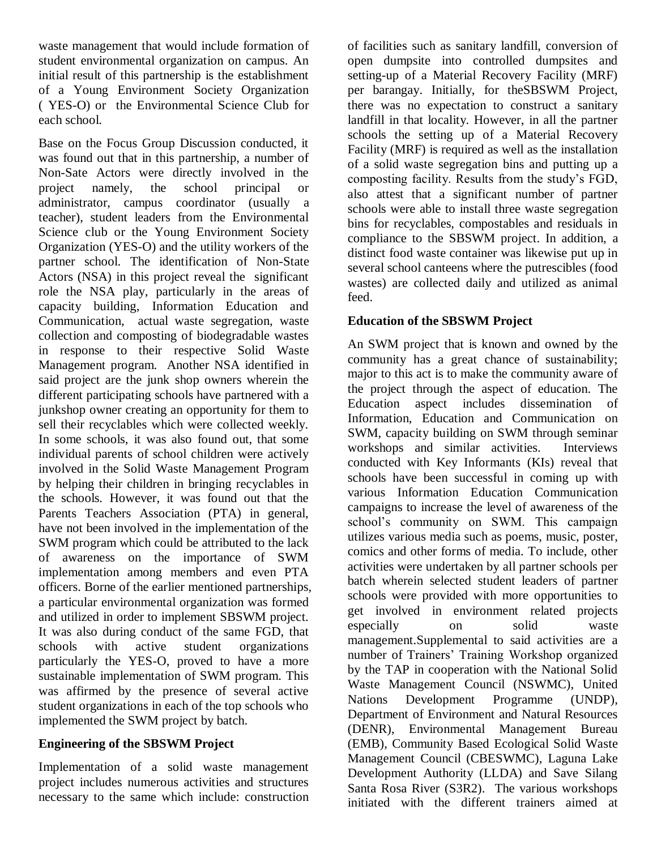waste management that would include formation of student environmental organization on campus. An initial result of this partnership is the establishment of a Young Environment Society Organization ( YES-O) or the Environmental Science Club for each school.

Base on the Focus Group Discussion conducted, it was found out that in this partnership, a number of Non-Sate Actors were directly involved in the project namely, the school principal or administrator, campus coordinator (usually a teacher), student leaders from the Environmental Science club or the Young Environment Society Organization (YES-O) and the utility workers of the partner school. The identification of Non-State Actors (NSA) in this project reveal the significant role the NSA play, particularly in the areas of capacity building, Information Education and Communication, actual waste segregation, waste collection and composting of biodegradable wastes in response to their respective Solid Waste Management program. Another NSA identified in said project are the junk shop owners wherein the different participating schools have partnered with a junkshop owner creating an opportunity for them to sell their recyclables which were collected weekly. In some schools, it was also found out, that some individual parents of school children were actively involved in the Solid Waste Management Program by helping their children in bringing recyclables in the schools. However, it was found out that the Parents Teachers Association (PTA) in general, have not been involved in the implementation of the SWM program which could be attributed to the lack of awareness on the importance of SWM implementation among members and even PTA officers. Borne of the earlier mentioned partnerships, a particular environmental organization was formed and utilized in order to implement SBSWM project. It was also during conduct of the same FGD, that schools with active student organizations particularly the YES-O, proved to have a more sustainable implementation of SWM program. This was affirmed by the presence of several active student organizations in each of the top schools who implemented the SWM project by batch.

### **Engineering of the SBSWM Project**

Implementation of a solid waste management project includes numerous activities and structures necessary to the same which include: construction of facilities such as sanitary landfill, conversion of open dumpsite into controlled dumpsites and setting-up of a Material Recovery Facility (MRF) per barangay. Initially, for theSBSWM Project, there was no expectation to construct a sanitary landfill in that locality. However, in all the partner schools the setting up of a Material Recovery Facility (MRF) is required as well as the installation of a solid waste segregation bins and putting up a composting facility. Results from the study's FGD, also attest that a significant number of partner schools were able to install three waste segregation bins for recyclables, compostables and residuals in compliance to the SBSWM project. In addition, a distinct food waste container was likewise put up in several school canteens where the putrescibles (food wastes) are collected daily and utilized as animal feed.

### **Education of the SBSWM Project**

An SWM project that is known and owned by the community has a great chance of sustainability; major to this act is to make the community aware of the project through the aspect of education. The Education aspect includes dissemination of Information, Education and Communication on SWM, capacity building on SWM through seminar workshops and similar activities. Interviews conducted with Key Informants (KIs) reveal that schools have been successful in coming up with various Information Education Communication campaigns to increase the level of awareness of the school's community on SWM. This campaign utilizes various media such as poems, music, poster, comics and other forms of media. To include, other activities were undertaken by all partner schools per batch wherein selected student leaders of partner schools were provided with more opportunities to get involved in environment related projects especially on solid waste management.Supplemental to said activities are a number of Trainers' Training Workshop organized by the TAP in cooperation with the National Solid Waste Management Council (NSWMC), United Nations Development Programme (UNDP), Department of Environment and Natural Resources (DENR), Environmental Management Bureau (EMB), Community Based Ecological Solid Waste Management Council (CBESWMC), Laguna Lake Development Authority (LLDA) and Save Silang Santa Rosa River (S3R2). The various workshops initiated with the different trainers aimed at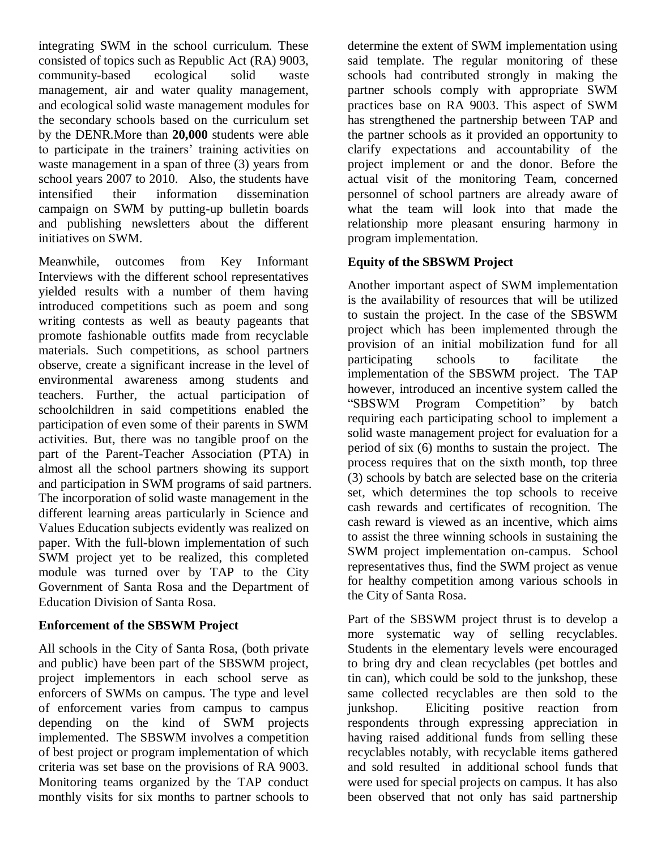integrating SWM in the school curriculum. These consisted of topics such as Republic Act (RA) 9003, community-based ecological solid waste management, air and water quality management, and ecological solid waste management modules for the secondary schools based on the curriculum set by the DENR.More than **20,000** students were able to participate in the trainers' training activities on waste management in a span of three (3) years from school years 2007 to 2010. Also, the students have intensified their information dissemination campaign on SWM by putting-up bulletin boards and publishing newsletters about the different initiatives on SWM.

Meanwhile, outcomes from Key Informant Interviews with the different school representatives yielded results with a number of them having introduced competitions such as poem and song writing contests as well as beauty pageants that promote fashionable outfits made from recyclable materials. Such competitions, as school partners observe, create a significant increase in the level of environmental awareness among students and teachers. Further, the actual participation of schoolchildren in said competitions enabled the participation of even some of their parents in SWM activities. But, there was no tangible proof on the part of the Parent-Teacher Association (PTA) in almost all the school partners showing its support and participation in SWM programs of said partners. The incorporation of solid waste management in the different learning areas particularly in Science and Values Education subjects evidently was realized on paper. With the full-blown implementation of such SWM project yet to be realized, this completed module was turned over by TAP to the City Government of Santa Rosa and the Department of Education Division of Santa Rosa.

### **Enforcement of the SBSWM Project**

All schools in the City of Santa Rosa, (both private and public) have been part of the SBSWM project, project implementors in each school serve as enforcers of SWMs on campus. The type and level of enforcement varies from campus to campus depending on the kind of SWM projects implemented. The SBSWM involves a competition of best project or program implementation of which criteria was set base on the provisions of RA 9003. Monitoring teams organized by the TAP conduct monthly visits for six months to partner schools to

determine the extent of SWM implementation using said template. The regular monitoring of these schools had contributed strongly in making the partner schools comply with appropriate SWM practices base on RA 9003. This aspect of SWM has strengthened the partnership between TAP and the partner schools as it provided an opportunity to clarify expectations and accountability of the project implement or and the donor. Before the actual visit of the monitoring Team, concerned personnel of school partners are already aware of what the team will look into that made the relationship more pleasant ensuring harmony in program implementation.

# **Equity of the SBSWM Project**

Another important aspect of SWM implementation is the availability of resources that will be utilized to sustain the project. In the case of the SBSWM project which has been implemented through the provision of an initial mobilization fund for all participating schools to facilitate the implementation of the SBSWM project. The TAP however, introduced an incentive system called the "SBSWM Program Competition" by batch requiring each participating school to implement a solid waste management project for evaluation for a period of six (6) months to sustain the project. The process requires that on the sixth month, top three (3) schools by batch are selected base on the criteria set, which determines the top schools to receive cash rewards and certificates of recognition. The cash reward is viewed as an incentive, which aims to assist the three winning schools in sustaining the SWM project implementation on-campus. School representatives thus, find the SWM project as venue for healthy competition among various schools in the City of Santa Rosa.

Part of the SBSWM project thrust is to develop a more systematic way of selling recyclables. Students in the elementary levels were encouraged to bring dry and clean recyclables (pet bottles and tin can), which could be sold to the junkshop, these same collected recyclables are then sold to the junkshop. Eliciting positive reaction from respondents through expressing appreciation in having raised additional funds from selling these recyclables notably, with recyclable items gathered and sold resulted in additional school funds that were used for special projects on campus. It has also been observed that not only has said partnership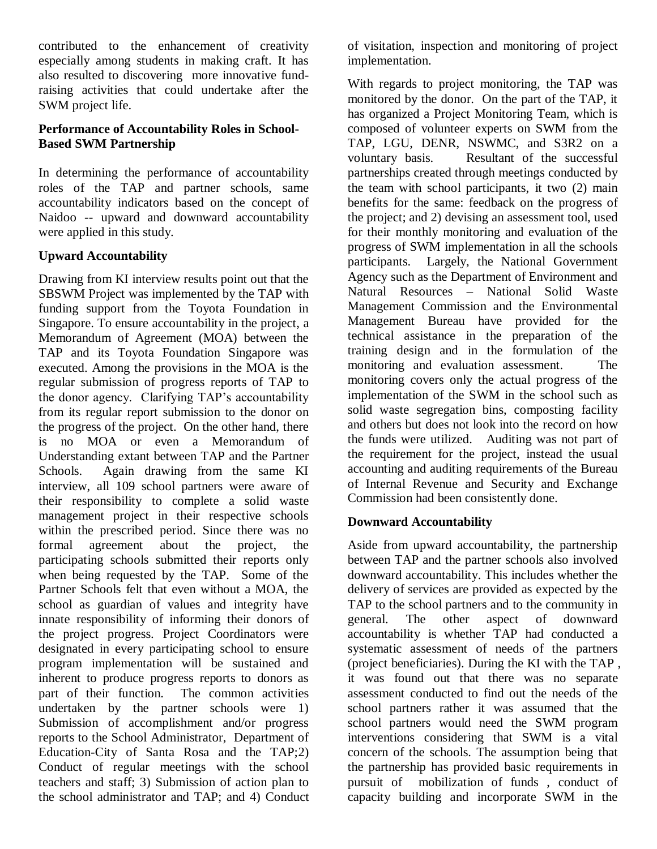contributed to the enhancement of creativity especially among students in making craft. It has also resulted to discovering more innovative fundraising activities that could undertake after the SWM project life.

#### **Performance of Accountability Roles in School-Based SWM Partnership**

In determining the performance of accountability roles of the TAP and partner schools, same accountability indicators based on the concept of Naidoo -- upward and downward accountability were applied in this study.

### **Upward Accountability**

Drawing from KI interview results point out that the SBSWM Project was implemented by the TAP with funding support from the Toyota Foundation in Singapore. To ensure accountability in the project, a Memorandum of Agreement (MOA) between the TAP and its Toyota Foundation Singapore was executed. Among the provisions in the MOA is the regular submission of progress reports of TAP to the donor agency. Clarifying TAP's accountability from its regular report submission to the donor on the progress of the project. On the other hand, there is no MOA or even a Memorandum of Understanding extant between TAP and the Partner Schools. Again drawing from the same KI interview, all 109 school partners were aware of their responsibility to complete a solid waste management project in their respective schools within the prescribed period. Since there was no formal agreement about the project, the participating schools submitted their reports only when being requested by the TAP. Some of the Partner Schools felt that even without a MOA, the school as guardian of values and integrity have innate responsibility of informing their donors of the project progress. Project Coordinators were designated in every participating school to ensure program implementation will be sustained and inherent to produce progress reports to donors as part of their function. The common activities undertaken by the partner schools were 1) Submission of accomplishment and/or progress reports to the School Administrator, Department of Education-City of Santa Rosa and the TAP;2) Conduct of regular meetings with the school teachers and staff; 3) Submission of action plan to the school administrator and TAP; and 4) Conduct of visitation, inspection and monitoring of project implementation.

With regards to project monitoring, the TAP was monitored by the donor. On the part of the TAP, it has organized a Project Monitoring Team, which is composed of volunteer experts on SWM from the TAP, LGU, DENR, NSWMC, and S3R2 on a voluntary basis. Resultant of the successful partnerships created through meetings conducted by the team with school participants, it two (2) main benefits for the same: feedback on the progress of the project; and 2) devising an assessment tool, used for their monthly monitoring and evaluation of the progress of SWM implementation in all the schools participants. Largely, the National Government Agency such as the Department of Environment and Natural Resources – National Solid Waste Management Commission and the Environmental Management Bureau have provided for the technical assistance in the preparation of the training design and in the formulation of the monitoring and evaluation assessment. The monitoring covers only the actual progress of the implementation of the SWM in the school such as solid waste segregation bins, composting facility and others but does not look into the record on how the funds were utilized. Auditing was not part of the requirement for the project, instead the usual accounting and auditing requirements of the Bureau of Internal Revenue and Security and Exchange Commission had been consistently done.

## **Downward Accountability**

Aside from upward accountability, the partnership between TAP and the partner schools also involved downward accountability. This includes whether the delivery of services are provided as expected by the TAP to the school partners and to the community in general. The other aspect of downward accountability is whether TAP had conducted a systematic assessment of needs of the partners (project beneficiaries). During the KI with the TAP , it was found out that there was no separate assessment conducted to find out the needs of the school partners rather it was assumed that the school partners would need the SWM program interventions considering that SWM is a vital concern of the schools. The assumption being that the partnership has provided basic requirements in pursuit of mobilization of funds , conduct of capacity building and incorporate SWM in the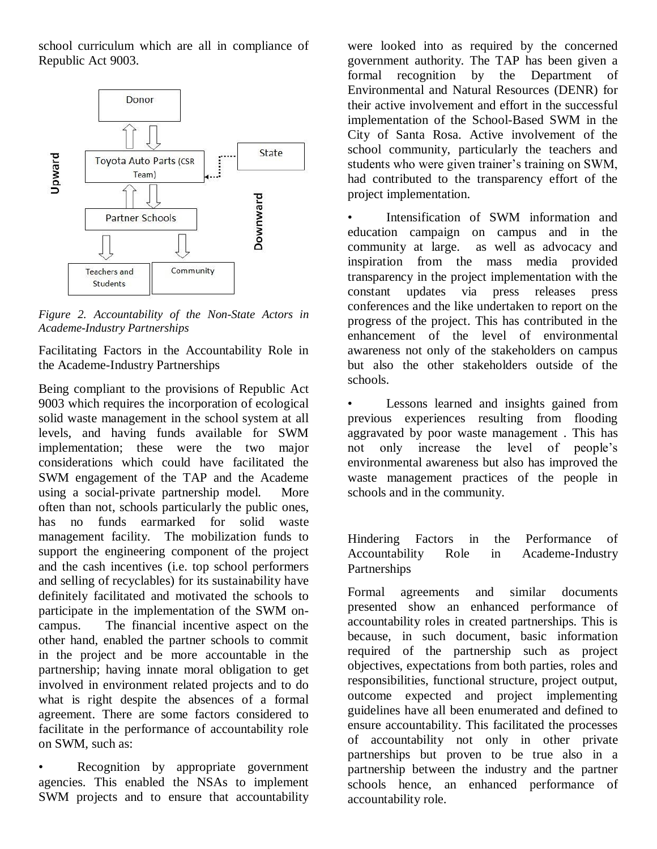school curriculum which are all in compliance of Republic Act 9003.



*Figure 2. Accountability of the Non-State Actors in Academe-Industry Partnerships*

Facilitating Factors in the Accountability Role in the Academe-Industry Partnerships

Being compliant to the provisions of Republic Act 9003 which requires the incorporation of ecological solid waste management in the school system at all levels, and having funds available for SWM implementation; these were the two major considerations which could have facilitated the SWM engagement of the TAP and the Academe using a social-private partnership model. More often than not, schools particularly the public ones, has no funds earmarked for solid waste management facility. The mobilization funds to support the engineering component of the project and the cash incentives (i.e. top school performers and selling of recyclables) for its sustainability have definitely facilitated and motivated the schools to participate in the implementation of the SWM oncampus. The financial incentive aspect on the other hand, enabled the partner schools to commit in the project and be more accountable in the partnership; having innate moral obligation to get involved in environment related projects and to do what is right despite the absences of a formal agreement. There are some factors considered to facilitate in the performance of accountability role on SWM, such as:

Recognition by appropriate government agencies. This enabled the NSAs to implement SWM projects and to ensure that accountability

were looked into as required by the concerned government authority. The TAP has been given a formal recognition by the Department of Environmental and Natural Resources (DENR) for their active involvement and effort in the successful implementation of the School-Based SWM in the City of Santa Rosa. Active involvement of the school community, particularly the teachers and students who were given trainer's training on SWM, had contributed to the transparency effort of the project implementation.

Intensification of SWM information and education campaign on campus and in the community at large. as well as advocacy and inspiration from the mass media provided transparency in the project implementation with the constant updates via press releases press conferences and the like undertaken to report on the progress of the project. This has contributed in the enhancement of the level of environmental awareness not only of the stakeholders on campus but also the other stakeholders outside of the schools.

• Lessons learned and insights gained from previous experiences resulting from flooding aggravated by poor waste management . This has not only increase the level of people's environmental awareness but also has improved the waste management practices of the people in schools and in the community.

Hindering Factors in the Performance of Accountability Role in Academe-Industry Partnerships

Formal agreements and similar documents presented show an enhanced performance of accountability roles in created partnerships. This is because, in such document, basic information required of the partnership such as project objectives, expectations from both parties, roles and responsibilities, functional structure, project output, outcome expected and project implementing guidelines have all been enumerated and defined to ensure accountability. This facilitated the processes of accountability not only in other private partnerships but proven to be true also in a partnership between the industry and the partner schools hence, an enhanced performance of accountability role.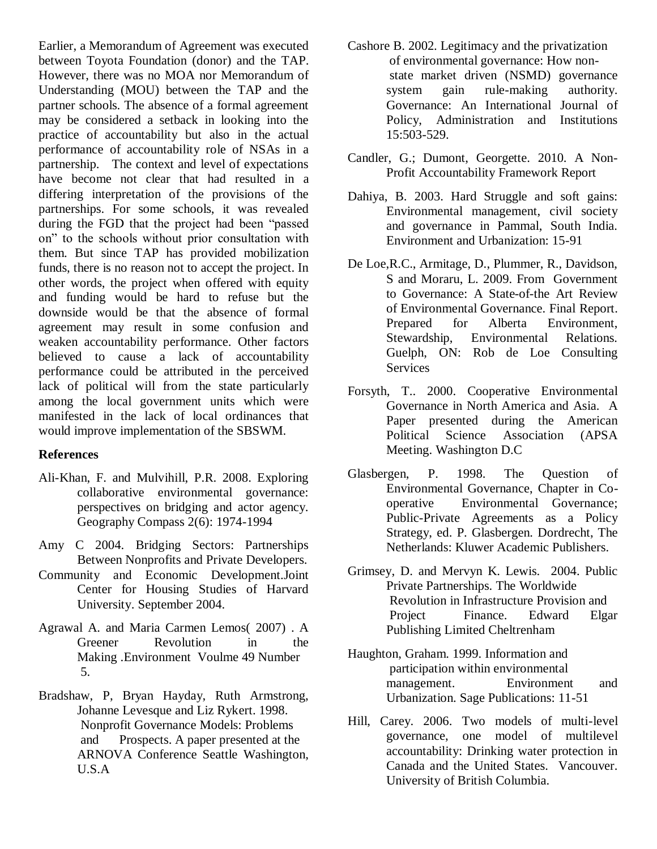Earlier, a Memorandum of Agreement was executed between Toyota Foundation (donor) and the TAP. However, there was no MOA nor Memorandum of Understanding (MOU) between the TAP and the partner schools. The absence of a formal agreement may be considered a setback in looking into the practice of accountability but also in the actual performance of accountability role of NSAs in a partnership. The context and level of expectations have become not clear that had resulted in a differing interpretation of the provisions of the partnerships. For some schools, it was revealed during the FGD that the project had been "passed on" to the schools without prior consultation with them. But since TAP has provided mobilization funds, there is no reason not to accept the project. In other words, the project when offered with equity and funding would be hard to refuse but the downside would be that the absence of formal agreement may result in some confusion and weaken accountability performance. Other factors believed to cause a lack of accountability performance could be attributed in the perceived lack of political will from the state particularly among the local government units which were manifested in the lack of local ordinances that would improve implementation of the SBSWM.

### **References**

- Ali-Khan, F. and Mulvihill, P.R. 2008. Exploring collaborative environmental governance: perspectives on bridging and actor agency. Geography Compass 2(6): 1974-1994
- Amy C 2004. Bridging Sectors: Partnerships Between Nonprofits and Private Developers.
- Community and Economic Development.Joint Center for Housing Studies of Harvard University. September 2004.
- Agrawal A. and Maria Carmen Lemos( 2007) . A Greener Revolution in the Making .Environment Voulme 49 Number 5.
- Bradshaw, P, Bryan Hayday, Ruth Armstrong, Johanne Levesque and Liz Rykert. 1998. Nonprofit Governance Models: Problems and Prospects. A paper presented at the ARNOVA Conference Seattle Washington, U.S.A
- Cashore B. 2002. Legitimacy and the privatization of environmental governance: How nonstate market driven (NSMD) governance system gain rule-making authority. Governance: An International Journal of Policy, Administration and Institutions 15:503-529.
- Candler, G.; Dumont, Georgette. 2010. A Non-Profit Accountability Framework Report
- Dahiya, B. 2003. Hard Struggle and soft gains: Environmental management, civil society and governance in Pammal, South India. Environment and Urbanization: 15-91
- De Loe,R.C., Armitage, D., Plummer, R., Davidson, S and Moraru, L. 2009. From Government to Governance: A State-of-the Art Review of Environmental Governance. Final Report. Prepared for Alberta Environment, Stewardship, Environmental Relations. Guelph, ON: Rob de Loe Consulting Services
- Forsyth, T.. 2000. Cooperative Environmental Governance in North America and Asia. A Paper presented during the American Political Science Association (APSA Meeting. Washington D.C
- Glasbergen, P. 1998. The Question of Environmental Governance, Chapter in Cooperative Environmental Governance; Public-Private Agreements as a Policy Strategy, ed. P. Glasbergen. Dordrecht, The Netherlands: Kluwer Academic Publishers.
- Grimsey, D. and Mervyn K. Lewis. 2004. Public Private Partnerships. The Worldwide Revolution in Infrastructure Provision and Project Finance. Edward Elgar Publishing Limited Cheltrenham
- Haughton, Graham. 1999. Information and participation within environmental management. Environment and Urbanization. Sage Publications: 11-51
- Hill, Carey. 2006. Two models of multi-level governance, one model of multilevel accountability: Drinking water protection in Canada and the United States. Vancouver. University of British Columbia.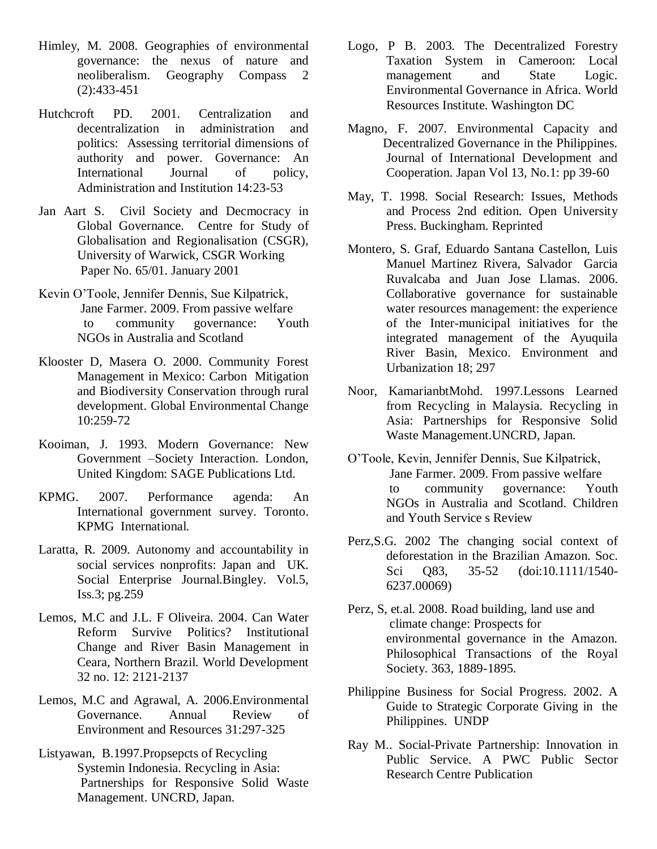- Himley, M. 2008. Geographies of environmental governance: the nexus of nature and neoliberalism. Geography Compass 2 (2):433-451
- Hutchcroft PD. 2001. Centralization and decentralization in administration and politics: Assessing territorial dimensions of authority and power. Governance: An International Journal of policy, Administration and Institution 14:23-53
- Jan Aart S. Civil Society and Decmocracy in Global Governance. Centre for Study of Globalisation and Regionalisation (CSGR), University of Warwick, CSGR Working Paper No. 65/01. January 2001
- Kevin O'Toole, Jennifer Dennis, Sue Kilpatrick, Jane Farmer. 2009. From passive welfare to community governance: Youth NGOs in Australia and Scotland
- Klooster D, Masera O. 2000. Community Forest Management in Mexico: Carbon Mitigation and Biodiversity Conservation through rural development. Global Environmental Change 10:259-72
- Kooiman, J. 1993. Modern Governance: New Government –Society Interaction. London, United Kingdom: SAGE Publications Ltd.
- KPMG. 2007. Performance agenda: An International government survey. Toronto. KPMG International.
- Laratta, R. 2009. Autonomy and accountability in social services nonprofits: Japan and UK. Social Enterprise Journal.Bingley. Vol.5, Iss.3; pg.259
- Lemos, M.C and J.L. F Oliveira. 2004. Can Water Reform Survive Politics? Institutional Change and River Basin Management in Ceara, Northern Brazil. World Development 32 no. 12: 2121-2137
- Lemos, M.C and Agrawal, A. 2006.Environmental Governance. Annual Review of Environment and Resources 31:297-325
- Listyawan, B.1997.Propsepcts of Recycling Systemin Indonesia. Recycling in Asia: Partnerships for Responsive Solid Waste Management. UNCRD, Japan.
- Logo, P B. 2003. The Decentralized Forestry Taxation System in Cameroon: Local management and State Logic. Environmental Governance in Africa. World Resources Institute. Washington DC
- Magno, F. 2007. Environmental Capacity and Decentralized Governance in the Philippines. Journal of International Development and Cooperation. Japan Vol 13, No.1: pp 39-60
- May, T. 1998. Social Research: Issues, Methods and Process 2nd edition. Open University Press. Buckingham. Reprinted
- Montero, S. Graf, Eduardo Santana Castellon, Luis Manuel Martinez Rivera, Salvador Garcia Ruvalcaba and Juan Jose Llamas. 2006. Collaborative governance for sustainable water resources management: the experience of the Inter-municipal initiatives for the integrated management of the Ayuquila River Basin, Mexico. Environment and Urbanization 18; 297
- Noor, KamarianbtMohd. 1997.Lessons Learned from Recycling in Malaysia. Recycling in Asia: Partnerships for Responsive Solid Waste Management.UNCRD, Japan.
- O'Toole, Kevin, Jennifer Dennis, Sue Kilpatrick, Jane Farmer. 2009. From passive welfare to community governance: Youth NGOs in Australia and Scotland. Children and Youth Service s Review
- Perz,S.G. 2002 The changing social context of deforestation in the Brazilian Amazon. Soc. Sci 083, 35-52 (doi:10.1111/1540-6237.00069)
- Perz, S, et.al. 2008. Road building, land use and climate change: Prospects for environmental governance in the Amazon. Philosophical Transactions of the Royal Society. 363, 1889-1895.
- Philippine Business for Social Progress. 2002. A Guide to Strategic Corporate Giving in the Philippines. UNDP
- Ray M.. Social-Private Partnership: Innovation in Public Service. A PWC Public Sector Research Centre Publication